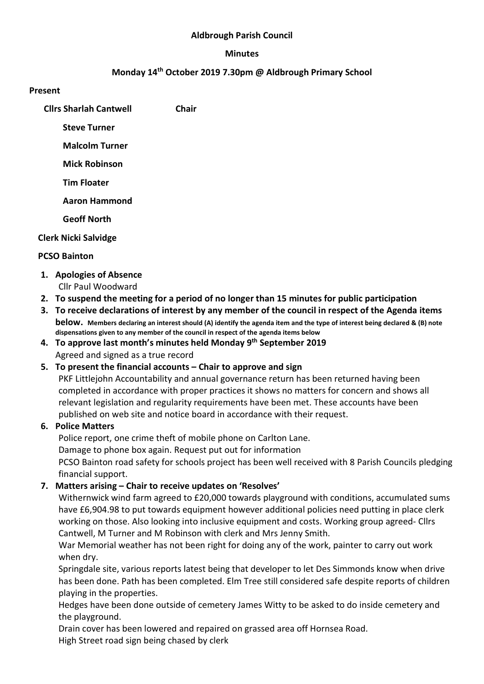#### Aldbrough Parish Council

#### Minutes

### Monday 14th October 2019 7.30pm @ Aldbrough Primary School

#### Present

Cllrs Sharlah Cantwell Chair

Steve Turner

Malcolm Turner

Mick Robinson

Tim Floater

Aaron Hammond

Geoff North

### Clerk Nicki Salvidge

### PCSO Bainton

- 1. Apologies of Absence Cllr Paul Woodward
- 2. To suspend the meeting for a period of no longer than 15 minutes for public participation
- 3. To receive declarations of interest by any member of the council in respect of the Agenda items below. Members declaring an interest should (A) identify the agenda item and the type of interest being declared & (B) note dispensations given to any member of the council in respect of the agenda items below
- 4. To approve last month's minutes held Monday 9th September 2019 Agreed and signed as a true record

## 5. To present the financial accounts – Chair to approve and sign

PKF Littlejohn Accountability and annual governance return has been returned having been completed in accordance with proper practices it shows no matters for concern and shows all relevant legislation and regularity requirements have been met. These accounts have been published on web site and notice board in accordance with their request.

## 6. Police Matters

Police report, one crime theft of mobile phone on Carlton Lane. Damage to phone box again. Request put out for information PCSO Bainton road safety for schools project has been well received with 8 Parish Councils pledging financial support.

## 7. Matters arising – Chair to receive updates on 'Resolves'

Withernwick wind farm agreed to £20,000 towards playground with conditions, accumulated sums have £6,904.98 to put towards equipment however additional policies need putting in place clerk working on those. Also looking into inclusive equipment and costs. Working group agreed- Cllrs Cantwell, M Turner and M Robinson with clerk and Mrs Jenny Smith.

War Memorial weather has not been right for doing any of the work, painter to carry out work when dry.

Springdale site, various reports latest being that developer to let Des Simmonds know when drive has been done. Path has been completed. Elm Tree still considered safe despite reports of children playing in the properties.

Hedges have been done outside of cemetery James Witty to be asked to do inside cemetery and the playground.

Drain cover has been lowered and repaired on grassed area off Hornsea Road.

High Street road sign being chased by clerk